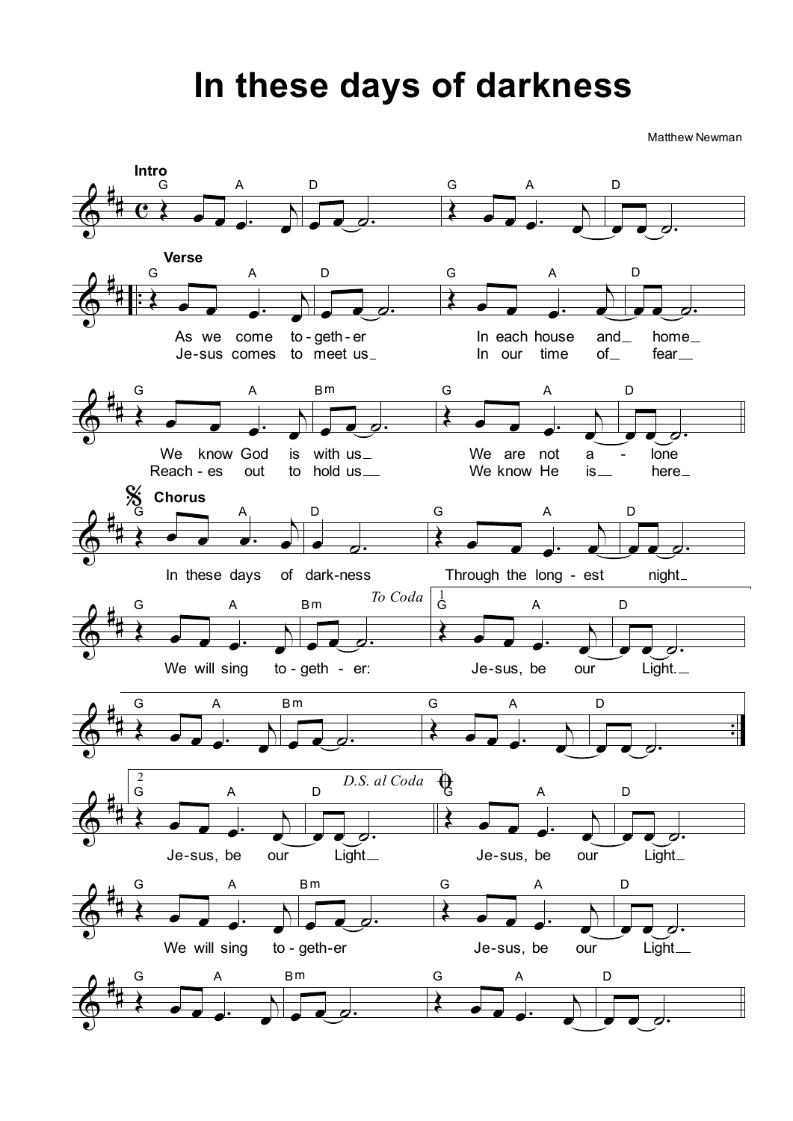## **In these days of darkness**

Matthew Newman